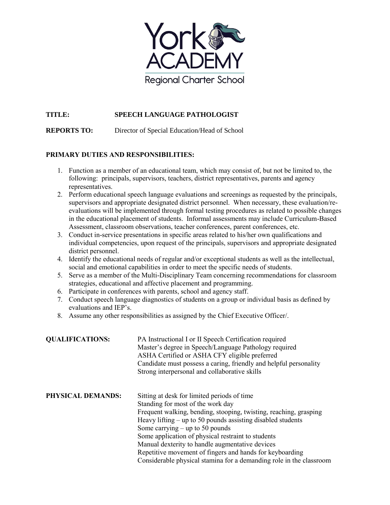

## **TITLE: SPEECH LANGUAGE PATHOLOGIST**

**REPORTS TO:** Director of Special Education/Head of School

## **PRIMARY DUTIES AND RESPONSIBILITIES:**

- 1. Function as a member of an educational team, which may consist of, but not be limited to, the following: principals, supervisors, teachers, district representatives, parents and agency representatives.
- 2. Perform educational speech language evaluations and screenings as requested by the principals, supervisors and appropriate designated district personnel. When necessary, these evaluation/reevaluations will be implemented through formal testing procedures as related to possible changes in the educational placement of students. Informal assessments may include Curriculum-Based Assessment, classroom observations, teacher conferences, parent conferences, etc.
- 3. Conduct in-service presentations in specific areas related to his/her own qualifications and individual competencies, upon request of the principals, supervisors and appropriate designated district personnel.
- 4. Identify the educational needs of regular and/or exceptional students as well as the intellectual, social and emotional capabilities in order to meet the specific needs of students.
- 5. Serve as a member of the Multi-Disciplinary Team concerning recommendations for classroom strategies, educational and affective placement and programming.
- 6. Participate in conferences with parents, school and agency staff.
- 7. Conduct speech language diagnostics of students on a group or individual basis as defined by evaluations and IEP's.
- 8. Assume any other responsibilities as assigned by the Chief Executive Officer/.

| <b>QUALIFICATIONS:</b>   | PA Instructional I or II Speech Certification required<br>Master's degree in Speech/Language Pathology required<br>ASHA Certified or ASHA CFY eligible preferred<br>Candidate must possess a caring, friendly and helpful personality<br>Strong interpersonal and collaborative skills                                                                                                                                                                                                                  |
|--------------------------|---------------------------------------------------------------------------------------------------------------------------------------------------------------------------------------------------------------------------------------------------------------------------------------------------------------------------------------------------------------------------------------------------------------------------------------------------------------------------------------------------------|
| <b>PHYSICAL DEMANDS:</b> | Sitting at desk for limited periods of time<br>Standing for most of the work day<br>Frequent walking, bending, stooping, twisting, reaching, grasping<br>Heavy lifting $-$ up to 50 pounds assisting disabled students<br>Some carrying $-$ up to 50 pounds<br>Some application of physical restraint to students<br>Manual dexterity to handle augmentative devices<br>Repetitive movement of fingers and hands for keyboarding<br>Considerable physical stamina for a demanding role in the classroom |